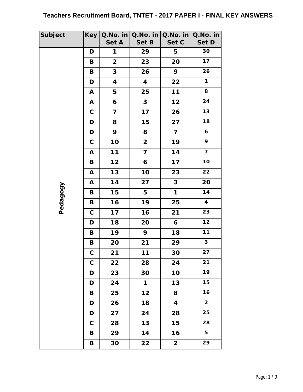| <b>Subject</b> | <b>Key</b>  | Q.No. in                | Q.No. in                | $Q.No.$ in              | Q.No. in                |
|----------------|-------------|-------------------------|-------------------------|-------------------------|-------------------------|
|                |             | Set A                   | Set B                   | Set C                   | Set D                   |
|                | D           | 1                       | 29                      | 5                       | 30                      |
|                | В           | $\overline{\mathbf{2}}$ | 23                      | 20                      | 17                      |
|                | B           | 3                       | 26                      | 9                       | 26                      |
|                | D           | $\overline{\mathbf{4}}$ | $\overline{\mathbf{4}}$ | 22                      | $\overline{1}$          |
|                | A           | 5                       | 25                      | 11                      | 8                       |
|                | A           | 6                       | $\mathbf{3}$            | $12$                    | 24                      |
|                | $\mathsf C$ | $\overline{7}$          | 17                      | 26                      | 13                      |
|                | D           | 8                       | 15                      | 27                      | 18                      |
|                | D           | 9                       | 8                       | $\overline{\mathbf{7}}$ | 6                       |
|                | $\mathsf C$ | 10                      | $\overline{2}$          | 19                      | 9                       |
|                | Α           | $11$                    | 7                       | 14                      | $\overline{\mathbf{z}}$ |
|                | B           | 12                      | 6                       | 17                      | 10                      |
|                | A           | 13                      | 10                      | 23                      | 22                      |
|                | A           | 14                      | 27                      | 3                       | 20                      |
|                | B           | 15                      | 5                       | 1                       | 14                      |
| Pedagogy       | B           | 16                      | 19                      | 25                      | $\overline{\mathbf{4}}$ |
|                | $\mathbf C$ | 17                      | 16                      | 21                      | 23                      |
|                | D           | 18                      | 20                      | 6                       | 12                      |
|                | B           | 19                      | 9                       | 18                      | $11$                    |
|                | B           | 20                      | 21                      | 29                      | $\overline{3}$          |
|                | C           | 21                      | 11                      | 30                      | $\overline{27}$         |
|                | $\mathbf C$ | 22                      | 28                      | 24                      | 21                      |
|                | D           | 23                      | 30                      | 10                      | 19                      |
|                | D           | 24                      | 1                       | 13                      | 15                      |
|                | B           | 25                      | 12                      | 8                       | 16                      |
|                | D           | 26                      | 18                      | $\overline{\mathbf{4}}$ | $\overline{\mathbf{c}}$ |
|                | D           | 27                      | 24                      | 28                      | 25                      |
|                | $\mathbf C$ | 28                      | 13                      | 15                      | 28                      |
|                | В           | 29                      | 14                      | 16                      | 5                       |
|                | B           | 30                      | 22                      | $\overline{2}$          | 29                      |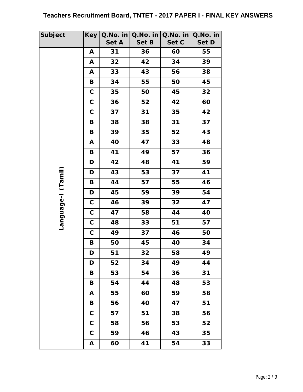| Subject    | <b>Key</b>  | Q.No. in    | Q.No. in | Q.No. in    | Q.No. in    |
|------------|-------------|-------------|----------|-------------|-------------|
|            |             | Set A<br>31 | Set B    | Set C<br>60 | Set D<br>55 |
|            | A           |             | 36       |             |             |
|            | A           | 32          | 42       | 34          | 39          |
|            | A           | 33          | 43       | 56          | 38          |
|            | B           | 34          | 55       | 50          | 45          |
|            | $\mathsf C$ | 35          | 50       | 45          | 32          |
|            | $\mathbf C$ | 36          | 52       | 42          | 60          |
|            | $\mathbf C$ | 37          | 31       | 35          | 42          |
|            | B           | 38          | 38       | 31          | 37          |
|            | B           | 39          | 35       | 52          | 43          |
|            | A           | 40          | 47       | 33          | 48          |
|            | В           | 41          | 49       | 57          | 36          |
|            | D           | 42          | 48       | 41          | 59          |
| (Tamil)    | D           | 43          | 53       | 37          | 41          |
|            | B           | 44          | 57       | 55          | 46          |
|            | D           | 45          | 59       | 39          | 54          |
| l-anguage- | $\mathbf C$ | 46          | 39       | 32          | 47          |
|            | $\mathbf C$ | 47          | 58       | 44          | 40          |
|            | $\mathbf C$ | 48          | 33       | 51          | 57          |
|            | $\mathbf C$ | 49          | 37       | 46          | 50          |
|            | B           | 50          | 45       | 40          | 34          |
|            | D           | 51          | 32       | 58          | 49          |
|            | D           | 52          | 34       | 49          | 44          |
|            | В           | 53          | 54       | 36          | 31          |
|            | В           | 54          | 44       | 48          | 53          |
|            | A           | 55          | 60       | 59          | 58          |
|            | В           | 56          | 40       | 47          | 51          |
|            | $\mathbf C$ | 57          | 51       | 38          | 56          |
|            | $\mathbf C$ | 58          | 56       | 53          | 52          |
|            | $\mathbf C$ | 59          | 46       | 43          | 35          |
|            | Α           | 60          | 41       | 54          | 33          |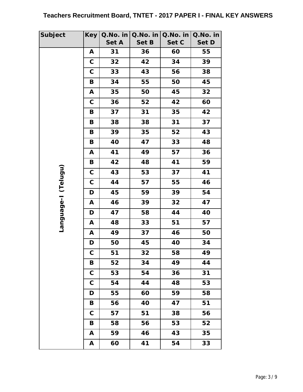| <b>Subject</b>        | <b>Key</b>  | Q.No. in<br>Set A | Q.No. in<br>Set B | Q.No. in<br>Set C | Q.No. in<br>Set D |
|-----------------------|-------------|-------------------|-------------------|-------------------|-------------------|
|                       | A           | 31                | 36                | 60                | 55                |
|                       | $\mathbf C$ | 32                | 42                | 34                | 39                |
|                       | $\mathbf C$ | 33                | 43                | 56                | 38                |
|                       | B           | 34                | 55                | 50                | 45                |
|                       |             |                   |                   | 45                | 32                |
|                       | Α           | 35                | 50                |                   |                   |
|                       | $\mathbf C$ | 36                | 52                | 42                | 60                |
|                       | B           | 37                | 31                | 35                | 42                |
|                       | В           | 38                | 38                | 31                | 37                |
|                       | B           | 39                | 35                | 52                | 43                |
|                       | B           | 40                | 47                | 33                | 48                |
|                       | A           | 41                | 49                | 57                | 36                |
|                       | B           | 42                | 48                | 41                | 59                |
| (Telugu)              | $\mathbf C$ | 43                | 53                | 37                | 41                |
|                       | $\mathbf C$ | 44                | 57                | 55                | 46                |
|                       | D           | 45                | 59                | 39                | 54                |
| <b>I-approutility</b> | A           | 46                | 39                | 32                | 47                |
|                       | D           | 47                | 58                | 44                | 40                |
|                       | Α           | 48                | 33                | 51                | 57                |
|                       | Α           | 49                | 37                | 46                | 50                |
|                       | D           | 50                | 45                | 40                | 34                |
|                       | C           | 51                | 32                | 58                | 49                |
|                       | B           | 52                | 34                | 49                | 44                |
|                       | $\mathbf C$ | 53                | 54                | 36                | 31                |
|                       | $\mathbf C$ | 54                | 44                | 48                | 53                |
|                       | D           | 55                | 60                | 59                | 58                |
|                       | B           | 56                | 40                | 47                | 51                |
|                       | $\mathbf C$ | 57                | 51                | 38                | 56                |
|                       | В           | 58                | 56                | 53                | 52                |
|                       | A           | 59                | 46                | 43                | 35                |
|                       | Α           | 60                | 41                | 54                | 33                |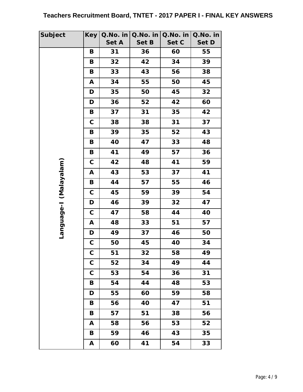| Subject     | <b>Key</b>  | Q.No. in<br>Set A | Q.No. in<br>Set B | Q.No. in<br>Set C | Q.No. in<br>Set D |
|-------------|-------------|-------------------|-------------------|-------------------|-------------------|
|             | B           | 31                | 36                | 60                | 55                |
|             | В           | 32                | 42                | 34                | 39                |
|             | B           | 33                | 43                | 56                | 38                |
|             | A           | 34                | 55                | 50                | 45                |
|             | D           | 35                | 50                | 45                | 32                |
|             | D           | 36                | 52                | 42                | 60                |
|             | B           | 37                | 31                | 35                | 42                |
|             | $\mathbf C$ | 38                | 38                | 31                | 37                |
|             | B           | 39                | 35                | 52                | 43                |
|             | B           | 40                | 47                | 33                | 48                |
|             | B           | 41                | 49                | 57                | 36                |
|             | $\mathsf C$ | 42                | 48                | 41                | 59                |
| (Malayalam) | A           | 43                | 53                | 37                | 41                |
|             | B           | 44                | 57                | 55                | 46                |
|             | $\mathsf C$ | 45                | 59                | 39                | 54                |
|             | D           | 46                | 39                | 32                | 47                |
| l-appugua   | $\mathbf C$ | 47                | 58                | 44                | 40                |
|             | A           | 48                | 33                | 51                | 57                |
|             | D           | 49                | 37                | 46                | 50                |
|             | $\mathsf C$ | 50                | 45                | 40                | 34                |
|             | C           | 51                | 32                | 58                | 49                |
|             | $\mathbf C$ | 52                | 34                | 49                | 44                |
|             | $\mathbf C$ | 53                | 54                | 36                | 31                |
|             | B           | 54                | 44                | 48                | 53                |
|             | D           | 55                | 60                | 59                | 58                |
|             | B           | 56                | 40                | 47                | 51                |
|             | B           | 57                | 51                | 38                | 56                |
|             | A           | 58                | 56                | 53                | 52                |
|             | В           | 59                | 46                | 43                | 35                |
|             | A           | 60                | 41                | 54                | 33                |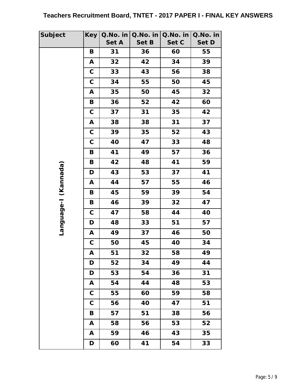| Subject    | <b>Key</b>  | Q.No. in<br>Set A | Q.No. in<br>Set B | Q.No. in<br>Set C | Q.No. in<br>Set D |
|------------|-------------|-------------------|-------------------|-------------------|-------------------|
|            | B           | 31                | 36                | 60                | 55                |
|            | A           | 32                | 42                | 34                | 39                |
|            | $\mathbf C$ | 33                | 43                | 56                | 38                |
|            | $\mathbf C$ | 34                | 55                | 50                | 45                |
|            | A           | 35                | 50                | 45                | 32                |
|            | B           | 36                | 52                | 42                | 60                |
|            | $\mathbf C$ | 37                | 31                | 35                | 42                |
|            | A           | 38                | 38                | 31                | 37                |
|            | $\mathbf C$ | 39                | 35                | 52                | 43                |
|            | $\mathbf C$ | 40                | 47                | 33                | 48                |
|            | B           | 41                | 49                | 57                | 36                |
|            | B           | 42                | 48                | 41                | 59                |
| (Kannada)  | D           | 43                | 53                | 37                | 41                |
|            | A           | 44                | 57                | 55                | 46                |
|            | B           | 45                | 59                | 39                | 54                |
|            | B           | 46                | 39                | 32                | 47                |
|            | $\mathbf C$ | 47                | 58                | 44                | 40                |
| l-appugual | D           | 48                | 33                | 51                | 57                |
|            | A           | 49                | 37                | 46                | 50                |
|            | $\mathsf C$ | 50                | 45                | 40                | 34                |
|            | A           | 51                | 32                | 58                | 49                |
|            | D           | 52                | 34                | 49                | 44                |
|            | D           | 53                | 54                | 36                | 31                |
|            | A           | 54                | 44                | 48                | 53                |
|            | $\mathbf C$ | 55                | 60                | 59                | 58                |
|            | $\mathbf C$ | 56                | 40                | 47                | 51                |
|            | B           | 57                | 51                | 38                | 56                |
|            | A           | 58                | 56                | 53                | 52                |
|            | A           | 59                | 46                | 43                | 35                |
|            | D           | 60                | 41                | 54                | 33                |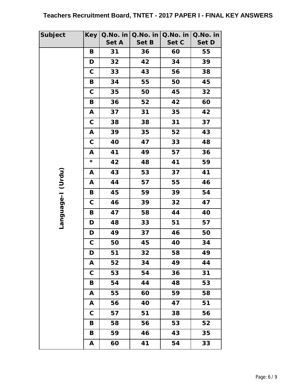| Subject           | <b>Key</b>  | Q.No. in<br>Set A | Q.No. in<br>Set B | Q.No. in<br>Set C | Q.No. in<br>Set D |
|-------------------|-------------|-------------------|-------------------|-------------------|-------------------|
|                   | B           | 31                | 36                | 60                | 55                |
|                   | D           | 32                | 42                | 34                | 39                |
|                   | $\mathbf C$ | 33                | 43                | 56                | 38                |
|                   | B           | 34                | 55                | 50                | 45                |
|                   | $\mathbf C$ | 35                | 50                | 45                | 32                |
|                   | B           | 36                | 52                | 42                | 60                |
|                   |             | 37                | 31                | 35                | 42                |
|                   | A           |                   |                   |                   |                   |
|                   | $\mathbf C$ | 38                | 38                | 31                | 37                |
|                   | A           | 39                | 35                | 52                | 43                |
|                   | $\mathbf C$ | 40                | 47                | 33                | 48                |
|                   | A           | 41                | 49                | 57                | 36                |
|                   | *           | 42                | 48                | 41                | 59                |
|                   | Α           | 43                | 53                | 37                | 41                |
|                   | A           | 44                | 57                | 55                | 46                |
|                   | B           | 45                | 59                | 39                | 54                |
| Language-I (Urdu) | $\mathsf C$ | 46                | 39                | 32                | 47                |
|                   | B           | 47                | 58                | 44                | 40                |
|                   | D           | 48                | 33                | 51                | 57                |
|                   | D           | 49                | 37                | 46                | 50                |
|                   | $\mathsf C$ | 50                | 45                | 40                | 34                |
|                   | D           | 51                | 32                | 58                | 49                |
|                   | A           | 52                | 34                | 49                | 44                |
|                   | $\mathbf C$ | 53                | 54                | 36                | 31                |
|                   | В           | 54                | 44                | 48                | 53                |
|                   | A           | 55                | 60                | 59                | 58                |
|                   | A           | 56                | 40                | 47                | 51                |
|                   | $\mathbf C$ | 57                | 51                | 38                | 56                |
|                   | В           | 58                | 56                | 53                | 52                |
|                   | B           | 59                | 46                | 43                | 35                |
|                   | A           | 60                | 41                | 54                | 33                |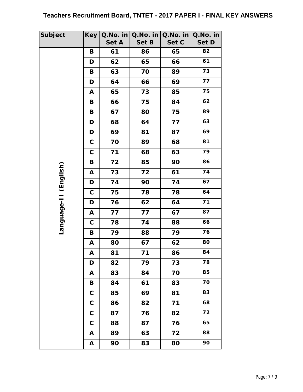| <b>Subject</b>        | <b>Key</b>   | Q.No. in | Q.No. in | Q.No. in | Q.No. in        |
|-----------------------|--------------|----------|----------|----------|-----------------|
|                       |              | Set A    | Set B    | Set C    | Set D           |
|                       | B            | 61       | 86       | 65       | 82              |
|                       | D            | 62       | 65       | 66       | 61              |
|                       | B            | 63       | 70       | 89       | 73              |
|                       | D            | 64       | 66       | 69       | $\overline{77}$ |
|                       | A            | 65       | 73       | 85       | 75              |
|                       | B            | 66       | 75       | 84       | 62              |
|                       | B            | 67       | 80       | 75       | 89              |
|                       | D            | 68       | 64       | 77       | 63              |
|                       | D            | 69       | 81       | 87       | 69              |
|                       | $\mathbf C$  | 70       | 89       | 68       | 81              |
|                       | $\mathsf C$  | 71       | 68       | 63       | 79              |
|                       | B            | 72       | 85       | 90       | 86              |
|                       | A            | 73       | 72       | 61       | 74              |
|                       | D            | 74       | 90       | 74       | 67              |
|                       | $\mathsf C$  | 75       | 78       | 78       | 64              |
|                       | D            | 76       | 62       | 64       | 71              |
| Language-II (English) | A            | 77       | 77       | 67       | 87              |
|                       | $\mathbf C$  | 78       | 74       | 88       | 66              |
|                       | B            | 79       | 88       | 79       | 76              |
|                       | Α            | 80       | 67       | 62       | 80              |
|                       | A            | 81       | 71       | 86       | 84              |
|                       | D            | 82       | 79       | 73       | 78              |
|                       | A            | 83       | 84       | 70       | 85              |
|                       | В            | 84       | 61       | 83       | 70              |
|                       | $\mathbf C$  | 85       | 69       | 81       | 83              |
|                       | $\mathbf C$  | 86       | 82       | 71       | 68              |
|                       | $\mathbf C$  | 87       | 76       | 82       | 72              |
|                       | $\mathbf C$  | 88       | 87       | 76       | 65              |
|                       | Α            | 89       | 63       | 72       | 88              |
|                       | $\mathbf{A}$ | 90       | 83       | 80       | 90              |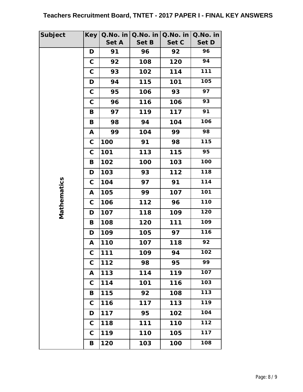| Subject     | <b>Key</b>  | Q.No. in   | Q.No. in | Q.No. in | Q.No. in |
|-------------|-------------|------------|----------|----------|----------|
|             |             | Set A      | Set B    | Set C    | Set D    |
|             | D           | 91         | 96       | 92       | 96       |
|             | $\mathbf C$ | 92         | 108      | 120      | 94       |
|             | $\mathbf C$ | 93         | 102      | 114      | 111      |
|             | D           | 94         | 115      | 101      | 105      |
|             | $\mathbf C$ | 95         | 106      | 93       | 97       |
|             | $\mathbf C$ | 96         | 116      | 106      | 93       |
|             | B           | 97         | 119      | 117      | 91       |
|             | B           | 98         | 94       | 104      | 106      |
|             | A           | 99         | 104      | 99       | 98       |
|             | $\mathbf C$ | 100        | 91       | 98       | 115      |
|             | $\mathbf C$ | 101        | 113      | 115      | 95       |
|             | B           | 102        | 100      | 103      | 100      |
|             | D           | 103        | 93       | 112      | 118      |
|             | $\mathbf C$ | 104        | 97       | 91       | 114      |
| Mathematics | A           | 105        | 99       | 107      | 101      |
|             | $\mathbf C$ | 106        | 112      | 96       | 110      |
|             | D           | 107        | 118      | 109      | 120      |
|             | B           | 108        | 120      | 111      | 109      |
|             | D           | 109        | 105      | 97       | 116      |
|             | A           | 110        | 107      | 118      | 92       |
|             | C           | <b>111</b> | 109      | 94       | 102      |
|             | $\mathbf C$ | 112        | 98       | 95       | 99       |
|             | A           | 113        | 114      | 119      | 107      |
|             | $\mathbf C$ | 114        | 101      | 116      | 103      |
|             | В           | 115        | 92       | 108      | 113      |
|             | $\mathbf C$ | 116        | 117      | 113      | 119      |
|             | D           | 117        | 95       | 102      | 104      |
|             | $\mathbf C$ | 118        | 111      | 110      | 112      |
|             | C           | 119        | 110      | 105      | 117      |
|             | В           | 120        | 103      | 100      | 108      |